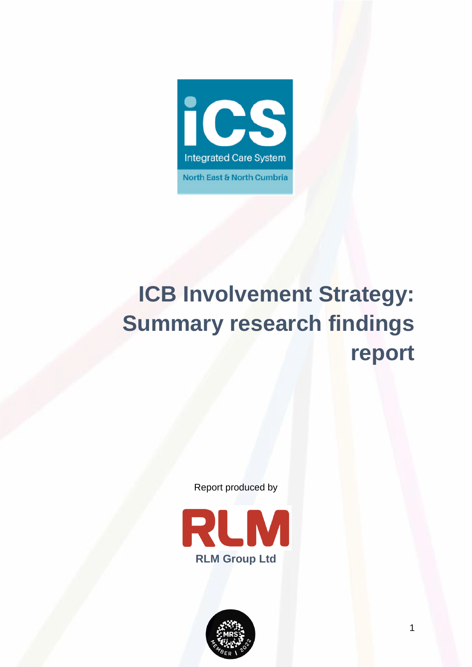

# **ICB Involvement Strategy: Summary research findings report**

Report produced by



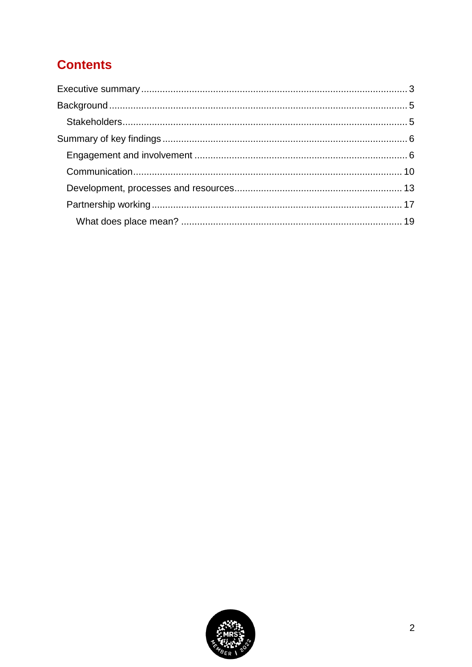# **Contents**

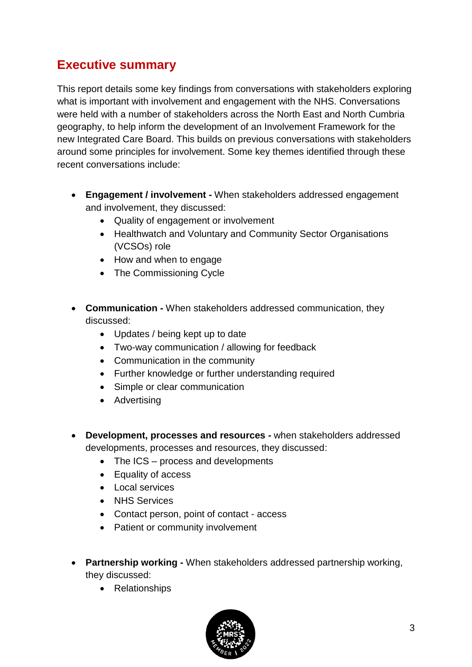# <span id="page-2-0"></span>**Executive summary**

This report details some key findings from conversations with stakeholders exploring what is important with involvement and engagement with the NHS. Conversations were held with a number of stakeholders across the North East and North Cumbria geography, to help inform the development of an Involvement Framework for the new Integrated Care Board. This builds on previous conversations with stakeholders around some principles for involvement. Some key themes identified through these recent conversations include:

- **Engagement / involvement -** When stakeholders addressed engagement and involvement, they discussed:
	- Quality of engagement or involvement
	- Healthwatch and Voluntary and Community Sector Organisations (VCSOs) role
	- How and when to engage
	- The Commissioning Cycle
- **Communication -** When stakeholders addressed communication, they discussed:
	- Updates / being kept up to date
	- Two-way communication / allowing for feedback
	- Communication in the community
	- Further knowledge or further understanding required
	- Simple or clear communication
	- Advertising
- **Development, processes and resources -** when stakeholders addressed developments, processes and resources, they discussed:
	- The ICS process and developments
	- Equality of access
	- Local services
	- NHS Services
	- Contact person, point of contact access
	- Patient or community involvement
- **Partnership working -** When stakeholders addressed partnership working, they discussed:
	- Relationships

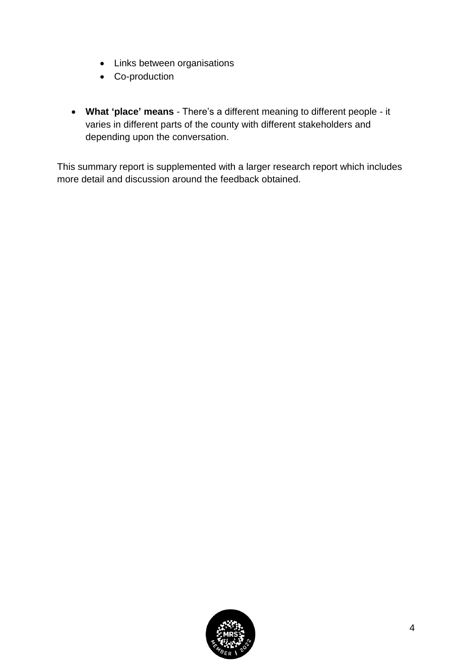- Links between organisations
- Co-production
- **What 'place' means**  There's a different meaning to different people it varies in different parts of the county with different stakeholders and depending upon the conversation.

This summary report is supplemented with a larger research report which includes more detail and discussion around the feedback obtained.

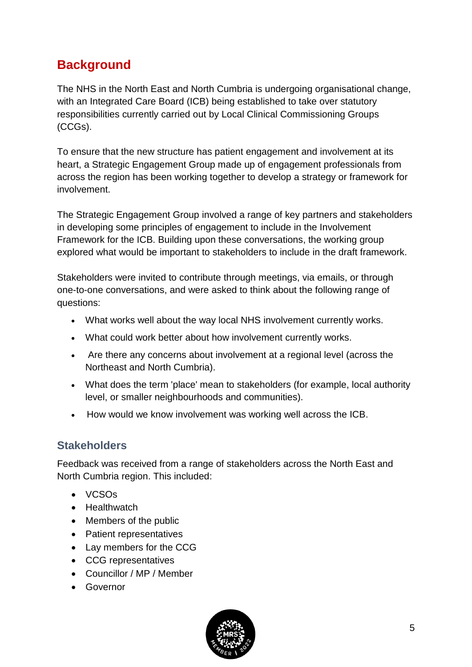# <span id="page-4-0"></span>**Background**

The NHS in the North East and North Cumbria is undergoing organisational change, with an Integrated Care Board (ICB) being established to take over statutory responsibilities currently carried out by Local Clinical Commissioning Groups (CCGs).

To ensure that the new structure has patient engagement and involvement at its heart, a Strategic Engagement Group made up of engagement professionals from across the region has been working together to develop a strategy or framework for involvement.

The Strategic Engagement Group involved a range of key partners and stakeholders in developing some principles of engagement to include in the Involvement Framework for the ICB. Building upon these conversations, the working group explored what would be important to stakeholders to include in the draft framework.

Stakeholders were invited to contribute through meetings, via emails, or through one-to-one conversations, and were asked to think about the following range of questions:

- What works well about the way local NHS involvement currently works.
- What could work better about how involvement currently works.
- Are there any concerns about involvement at a regional level (across the Northeast and North Cumbria).
- What does the term 'place' mean to stakeholders (for example, local authority level, or smaller neighbourhoods and communities).
- How would we know involvement was working well across the ICB.

## <span id="page-4-1"></span>**Stakeholders**

Feedback was received from a range of stakeholders across the North East and North Cumbria region. This included:

- VCSOs
- Healthwatch
- Members of the public
- Patient representatives
- Lay members for the CCG
- CCG representatives
- Councillor / MP / Member
- Governor

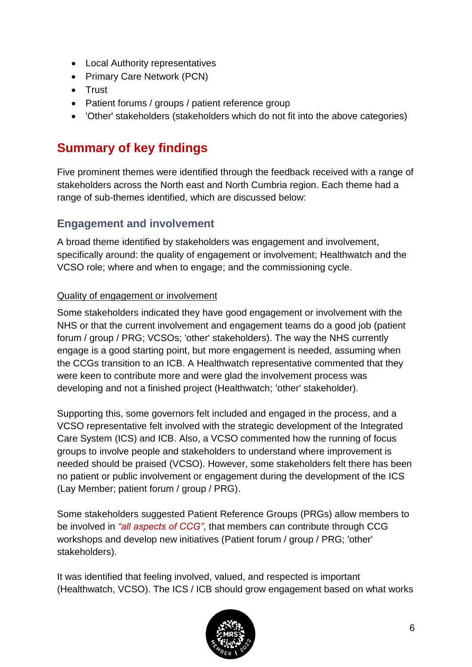- Local Authority representatives
- Primary Care Network (PCN)
- Trust
- Patient forums / groups / patient reference group
- 'Other' stakeholders (stakeholders which do not fit into the above categories)

# <span id="page-5-0"></span>**Summary of key findings**

Five prominent themes were identified through the feedback received with a range of stakeholders across the North east and North Cumbria region. Each theme had a range of sub-themes identified, which are discussed below:

## <span id="page-5-1"></span>**Engagement and involvement**

A broad theme identified by stakeholders was engagement and involvement, specifically around: the quality of engagement or involvement; Healthwatch and the VCSO role; where and when to engage; and the commissioning cycle.

#### Quality of engagement or involvement

Some stakeholders indicated they have good engagement or involvement with the NHS or that the current involvement and engagement teams do a good job (patient forum / group / PRG; VCSOs; 'other' stakeholders). The way the NHS currently engage is a good starting point, but more engagement is needed, assuming when the CCGs transition to an ICB. A Healthwatch representative commented that they were keen to contribute more and were glad the involvement process was developing and not a finished project (Healthwatch; 'other' stakeholder).

Supporting this, some governors felt included and engaged in the process, and a VCSO representative felt involved with the strategic development of the Integrated Care System (ICS) and ICB. Also, a VCSO commented how the running of focus groups to involve people and stakeholders to understand where improvement is needed should be praised (VCSO). However, some stakeholders felt there has been no patient or public involvement or engagement during the development of the ICS (Lay Member; patient forum / group / PRG).

Some stakeholders suggested Patient Reference Groups (PRGs) allow members to be involved in *"all aspects of CCG"*, that members can contribute through CCG workshops and develop new initiatives (Patient forum / group / PRG; 'other' stakeholders).

It was identified that feeling involved, valued, and respected is important (Healthwatch, VCSO). The ICS / ICB should grow engagement based on what works

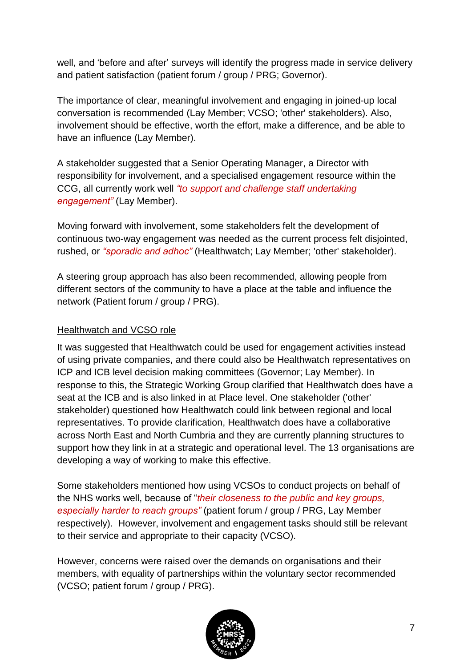well, and 'before and after' surveys will identify the progress made in service delivery and patient satisfaction (patient forum / group / PRG; Governor).

The importance of clear, meaningful involvement and engaging in joined-up local conversation is recommended (Lay Member; VCSO; 'other' stakeholders). Also, involvement should be effective, worth the effort, make a difference, and be able to have an influence (Lay Member).

A stakeholder suggested that a Senior Operating Manager, a Director with responsibility for involvement, and a specialised engagement resource within the CCG, all currently work well *"to support and challenge staff undertaking engagement"* (Lay Member).

Moving forward with involvement, some stakeholders felt the development of continuous two-way engagement was needed as the current process felt disjointed, rushed, or *"sporadic and adhoc"* (Healthwatch; Lay Member; 'other' stakeholder).

A steering group approach has also been recommended, allowing people from different sectors of the community to have a place at the table and influence the network (Patient forum / group / PRG).

#### Healthwatch and VCSO role

It was suggested that Healthwatch could be used for engagement activities instead of using private companies, and there could also be Healthwatch representatives on ICP and ICB level decision making committees (Governor; Lay Member). In response to this, the Strategic Working Group clarified that Healthwatch does have a seat at the ICB and is also linked in at Place level. One stakeholder ('other' stakeholder) questioned how Healthwatch could link between regional and local representatives. To provide clarification, Healthwatch does have a collaborative across North East and North Cumbria and they are currently planning structures to support how they link in at a strategic and operational level. The 13 organisations are developing a way of working to make this effective.

Some stakeholders mentioned how using VCSOs to conduct projects on behalf of the NHS works well, because of "*their closeness to the public and key groups, especially harder to reach groups"* (patient forum / group / PRG, Lay Member respectively). However, involvement and engagement tasks should still be relevant to their service and appropriate to their capacity (VCSO).

However, concerns were raised over the demands on organisations and their members, with equality of partnerships within the voluntary sector recommended (VCSO; patient forum / group / PRG).

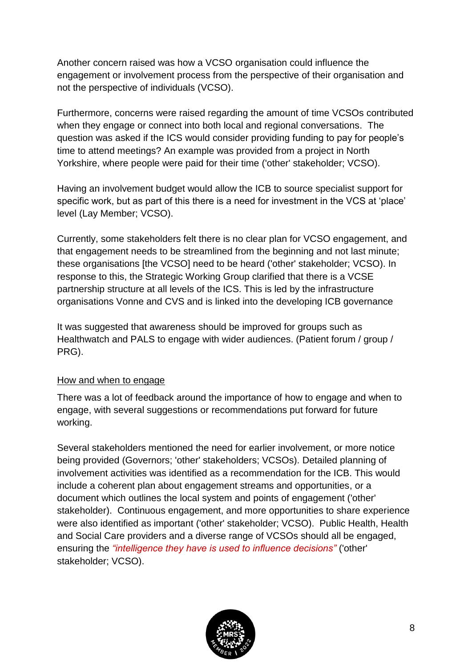Another concern raised was how a VCSO organisation could influence the engagement or involvement process from the perspective of their organisation and not the perspective of individuals (VCSO).

Furthermore, concerns were raised regarding the amount of time VCSOs contributed when they engage or connect into both local and regional conversations. The question was asked if the ICS would consider providing funding to pay for people's time to attend meetings? An example was provided from a project in North Yorkshire, where people were paid for their time ('other' stakeholder; VCSO).

Having an involvement budget would allow the ICB to source specialist support for specific work, but as part of this there is a need for investment in the VCS at 'place' level (Lay Member; VCSO).

Currently, some stakeholders felt there is no clear plan for VCSO engagement, and that engagement needs to be streamlined from the beginning and not last minute; these organisations [the VCSO] need to be heard ('other' stakeholder; VCSO). In response to this, the Strategic Working Group clarified that there is a VCSE partnership structure at all levels of the ICS. This is led by the infrastructure organisations Vonne and CVS and is linked into the developing ICB governance

It was suggested that awareness should be improved for groups such as Healthwatch and PALS to engage with wider audiences. (Patient forum / group / PRG).

#### How and when to engage

There was a lot of feedback around the importance of how to engage and when to engage, with several suggestions or recommendations put forward for future working.

Several stakeholders mentioned the need for earlier involvement, or more notice being provided (Governors; 'other' stakeholders; VCSOs). Detailed planning of involvement activities was identified as a recommendation for the ICB. This would include a coherent plan about engagement streams and opportunities, or a document which outlines the local system and points of engagement ('other' stakeholder). Continuous engagement, and more opportunities to share experience were also identified as important ('other' stakeholder; VCSO). Public Health, Health and Social Care providers and a diverse range of VCSOs should all be engaged, ensuring the *"intelligence they have is used to influence decisions"* ('other' stakeholder; VCSO).

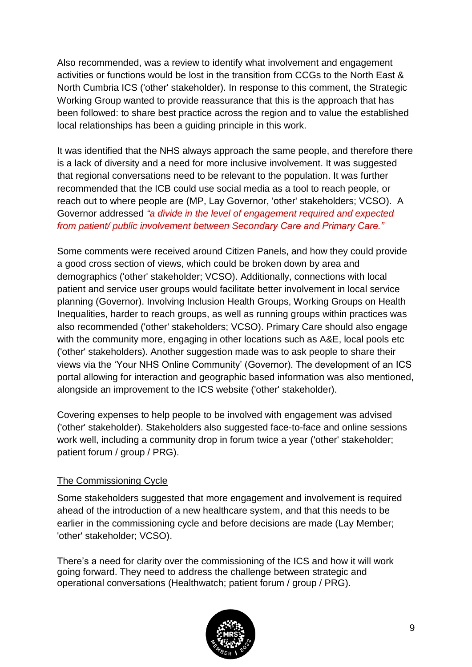Also recommended, was a review to identify what involvement and engagement activities or functions would be lost in the transition from CCGs to the North East & North Cumbria ICS ('other' stakeholder). In response to this comment, the Strategic Working Group wanted to provide reassurance that this is the approach that has been followed: to share best practice across the region and to value the established local relationships has been a guiding principle in this work.

It was identified that the NHS always approach the same people, and therefore there is a lack of diversity and a need for more inclusive involvement. It was suggested that regional conversations need to be relevant to the population. It was further recommended that the ICB could use social media as a tool to reach people, or reach out to where people are (MP, Lay Governor, 'other' stakeholders; VCSO). A Governor addressed *"a divide in the level of engagement required and expected from patient/ public involvement between Secondary Care and Primary Care."*

Some comments were received around Citizen Panels, and how they could provide a good cross section of views, which could be broken down by area and demographics ('other' stakeholder; VCSO). Additionally, connections with local patient and service user groups would facilitate better involvement in local service planning (Governor). Involving Inclusion Health Groups, Working Groups on Health Inequalities, harder to reach groups, as well as running groups within practices was also recommended ('other' stakeholders; VCSO). Primary Care should also engage with the community more, engaging in other locations such as A&E, local pools etc ('other' stakeholders). Another suggestion made was to ask people to share their views via the 'Your NHS Online Community' (Governor). The development of an ICS portal allowing for interaction and geographic based information was also mentioned, alongside an improvement to the ICS website ('other' stakeholder).

Covering expenses to help people to be involved with engagement was advised ('other' stakeholder). Stakeholders also suggested face-to-face and online sessions work well, including a community drop in forum twice a year ('other' stakeholder; patient forum / group / PRG).

#### The Commissioning Cycle

Some stakeholders suggested that more engagement and involvement is required ahead of the introduction of a new healthcare system, and that this needs to be earlier in the commissioning cycle and before decisions are made (Lay Member; 'other' stakeholder; VCSO).

There's a need for clarity over the commissioning of the ICS and how it will work going forward. They need to address the challenge between strategic and operational conversations (Healthwatch; patient forum / group / PRG).

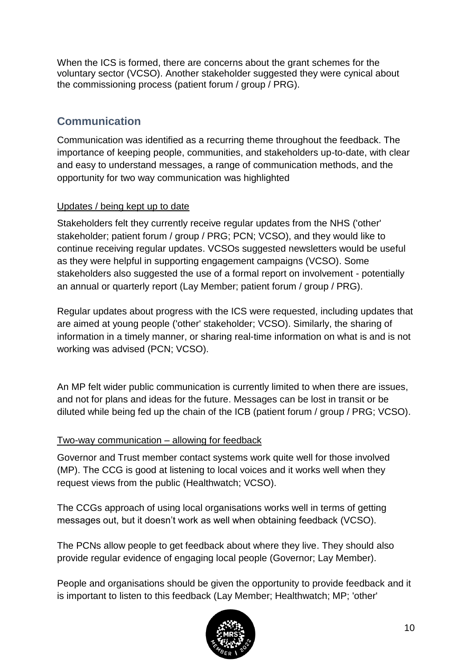When the ICS is formed, there are concerns about the grant schemes for the voluntary sector (VCSO). Another stakeholder suggested they were cynical about the commissioning process (patient forum / group / PRG).

## <span id="page-9-0"></span>**Communication**

Communication was identified as a recurring theme throughout the feedback. The importance of keeping people, communities, and stakeholders up-to-date, with clear and easy to understand messages, a range of communication methods, and the opportunity for two way communication was highlighted

#### Updates / being kept up to date

Stakeholders felt they currently receive regular updates from the NHS ('other' stakeholder; patient forum / group / PRG; PCN; VCSO), and they would like to continue receiving regular updates. VCSOs suggested newsletters would be useful as they were helpful in supporting engagement campaigns (VCSO). Some stakeholders also suggested the use of a formal report on involvement - potentially an annual or quarterly report (Lay Member; patient forum / group / PRG).

Regular updates about progress with the ICS were requested, including updates that are aimed at young people ('other' stakeholder; VCSO). Similarly, the sharing of information in a timely manner, or sharing real-time information on what is and is not working was advised (PCN; VCSO).

An MP felt wider public communication is currently limited to when there are issues, and not for plans and ideas for the future. Messages can be lost in transit or be diluted while being fed up the chain of the ICB (patient forum / group / PRG; VCSO).

#### Two-way communication – allowing for feedback

Governor and Trust member contact systems work quite well for those involved (MP). The CCG is good at listening to local voices and it works well when they request views from the public (Healthwatch; VCSO).

The CCGs approach of using local organisations works well in terms of getting messages out, but it doesn't work as well when obtaining feedback (VCSO).

The PCNs allow people to get feedback about where they live. They should also provide regular evidence of engaging local people (Governor; Lay Member).

People and organisations should be given the opportunity to provide feedback and it is important to listen to this feedback (Lay Member; Healthwatch; MP; 'other'

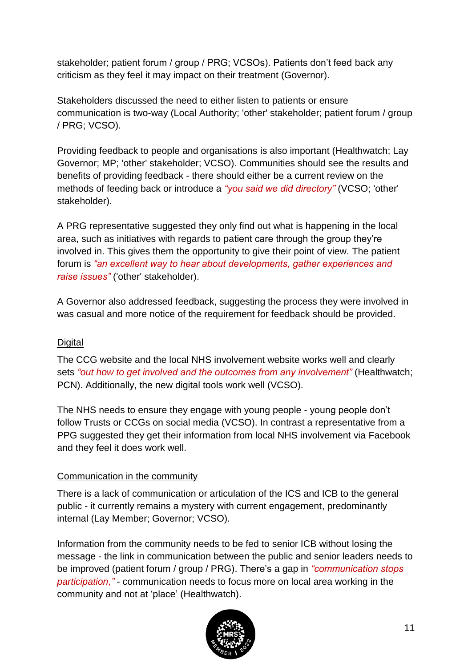stakeholder; patient forum / group / PRG; VCSOs). Patients don't feed back any criticism as they feel it may impact on their treatment (Governor).

Stakeholders discussed the need to either listen to patients or ensure communication is two-way (Local Authority; 'other' stakeholder; patient forum / group / PRG; VCSO).

Providing feedback to people and organisations is also important (Healthwatch; Lay Governor; MP; 'other' stakeholder; VCSO). Communities should see the results and benefits of providing feedback - there should either be a current review on the methods of feeding back or introduce a *"you said we did directory"* (VCSO; 'other' stakeholder).

A PRG representative suggested they only find out what is happening in the local area, such as initiatives with regards to patient care through the group they're involved in. This gives them the opportunity to give their point of view. The patient forum is *"an excellent way to hear about developments, gather experiences and raise issues"* ('other' stakeholder).

A Governor also addressed feedback, suggesting the process they were involved in was casual and more notice of the requirement for feedback should be provided.

#### **Digital**

The CCG website and the local NHS involvement website works well and clearly sets *"out how to get involved and the outcomes from any involvement"* (Healthwatch; PCN). Additionally, the new digital tools work well (VCSO).

The NHS needs to ensure they engage with young people - young people don't follow Trusts or CCGs on social media (VCSO). In contrast a representative from a PPG suggested they get their information from local NHS involvement via Facebook and they feel it does work well.

#### Communication in the community

There is a lack of communication or articulation of the ICS and ICB to the general public - it currently remains a mystery with current engagement, predominantly internal (Lay Member; Governor; VCSO).

Information from the community needs to be fed to senior ICB without losing the message - the link in communication between the public and senior leaders needs to be improved (patient forum / group / PRG). There's a gap in *"communication stops participation,"* - communication needs to focus more on local area working in the community and not at 'place' (Healthwatch).

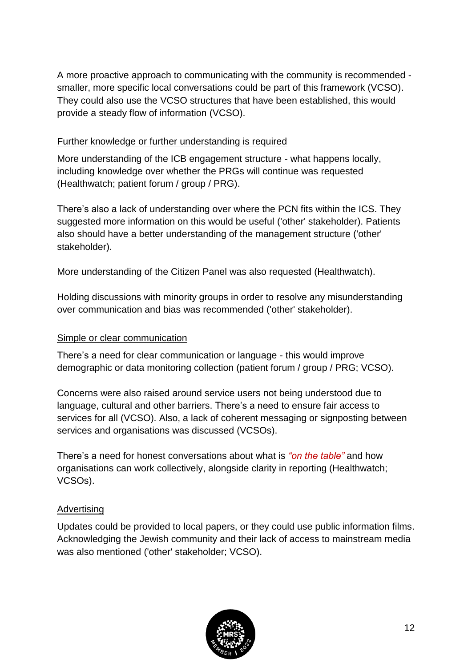A more proactive approach to communicating with the community is recommended smaller, more specific local conversations could be part of this framework (VCSO). They could also use the VCSO structures that have been established, this would provide a steady flow of information (VCSO).

#### Further knowledge or further understanding is required

More understanding of the ICB engagement structure - what happens locally, including knowledge over whether the PRGs will continue was requested (Healthwatch; patient forum / group / PRG).

There's also a lack of understanding over where the PCN fits within the ICS. They suggested more information on this would be useful ('other' stakeholder). Patients also should have a better understanding of the management structure ('other' stakeholder).

More understanding of the Citizen Panel was also requested (Healthwatch).

Holding discussions with minority groups in order to resolve any misunderstanding over communication and bias was recommended ('other' stakeholder).

#### Simple or clear communication

There's a need for clear communication or language - this would improve demographic or data monitoring collection (patient forum / group / PRG; VCSO).

Concerns were also raised around service users not being understood due to language, cultural and other barriers. There's a need to ensure fair access to services for all (VCSO). Also, a lack of coherent messaging or signposting between services and organisations was discussed (VCSOs).

There's a need for honest conversations about what is *"on the table"* and how organisations can work collectively, alongside clarity in reporting (Healthwatch; VCSOs).

#### Advertising

Updates could be provided to local papers, or they could use public information films. Acknowledging the Jewish community and their lack of access to mainstream media was also mentioned ('other' stakeholder; VCSO).

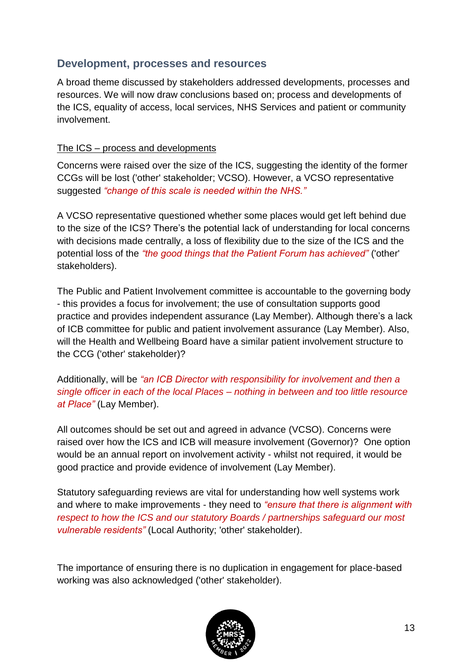### <span id="page-12-0"></span>**Development, processes and resources**

A broad theme discussed by stakeholders addressed developments, processes and resources. We will now draw conclusions based on; process and developments of the ICS, equality of access, local services, NHS Services and patient or community involvement.

#### The ICS – process and developments

Concerns were raised over the size of the ICS, suggesting the identity of the former CCGs will be lost ('other' stakeholder; VCSO). However, a VCSO representative suggested *"change of this scale is needed within the NHS."*

A VCSO representative questioned whether some places would get left behind due to the size of the ICS? There's the potential lack of understanding for local concerns with decisions made centrally, a loss of flexibility due to the size of the ICS and the potential loss of the *"the good things that the Patient Forum has achieved"* ('other' stakeholders).

The Public and Patient Involvement committee is accountable to the governing body - this provides a focus for involvement; the use of consultation supports good practice and provides independent assurance (Lay Member). Although there's a lack of ICB committee for public and patient involvement assurance (Lay Member). Also, will the Health and Wellbeing Board have a similar patient involvement structure to the CCG ('other' stakeholder)?

Additionally, will be *"an ICB Director with responsibility for involvement and then a single officer in each of the local Places – nothing in between and too little resource at Place"* (Lay Member).

All outcomes should be set out and agreed in advance (VCSO). Concerns were raised over how the ICS and ICB will measure involvement (Governor)? One option would be an annual report on involvement activity - whilst not required, it would be good practice and provide evidence of involvement (Lay Member).

Statutory safeguarding reviews are vital for understanding how well systems work and where to make improvements - they need to *"ensure that there is alignment with respect to how the ICS and our statutory Boards / partnerships safeguard our most vulnerable residents"* (Local Authority; 'other' stakeholder).

The importance of ensuring there is no duplication in engagement for place-based working was also acknowledged ('other' stakeholder).

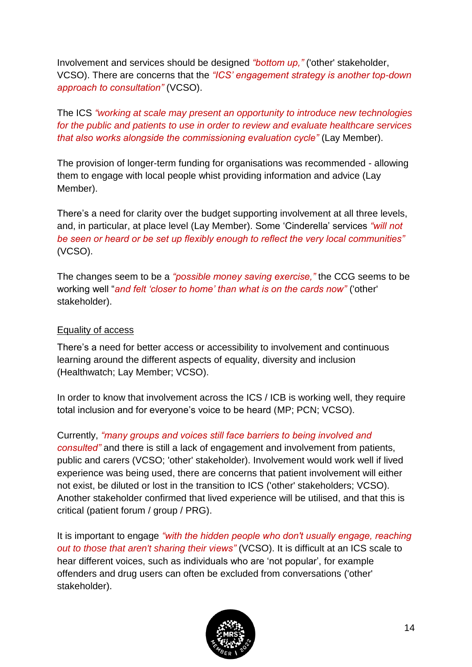Involvement and services should be designed *"bottom up,"* ('other' stakeholder, VCSO). There are concerns that the *"ICS' engagement strategy is another top-down approach to consultation"* (VCSO).

The ICS *"working at scale may present an opportunity to introduce new technologies for the public and patients to use in order to review and evaluate healthcare services that also works alongside the commissioning evaluation cycle"* (Lay Member).

The provision of longer-term funding for organisations was recommended - allowing them to engage with local people whist providing information and advice (Lay Member).

There's a need for clarity over the budget supporting involvement at all three levels, and, in particular, at place level (Lay Member). Some 'Cinderella' services *"will not be seen or heard or be set up flexibly enough to reflect the very local communities"* (VCSO).

The changes seem to be a *"possible money saving exercise,"* the CCG seems to be working well "*and felt 'closer to home' than what is on the cards now"* ('other' stakeholder).

#### Equality of access

There's a need for better access or accessibility to involvement and continuous learning around the different aspects of equality, diversity and inclusion (Healthwatch; Lay Member; VCSO).

In order to know that involvement across the ICS / ICB is working well, they require total inclusion and for everyone's voice to be heard (MP; PCN; VCSO).

Currently, *"many groups and voices still face barriers to being involved and consulted"* and there is still a lack of engagement and involvement from patients, public and carers (VCSO; 'other' stakeholder). Involvement would work well if lived experience was being used, there are concerns that patient involvement will either not exist, be diluted or lost in the transition to ICS ('other' stakeholders; VCSO). Another stakeholder confirmed that lived experience will be utilised, and that this is critical (patient forum / group / PRG).

It is important to engage *"with the hidden people who don't usually engage, reaching out to those that aren't sharing their views"* (VCSO). It is difficult at an ICS scale to hear different voices, such as individuals who are 'not popular', for example offenders and drug users can often be excluded from conversations ('other' stakeholder).

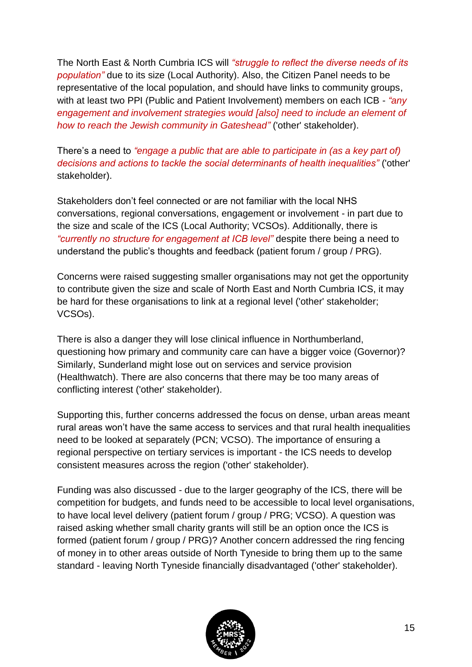The North East & North Cumbria ICS will *"struggle to reflect the diverse needs of its population"* due to its size (Local Authority). Also, the Citizen Panel needs to be representative of the local population, and should have links to community groups, with at least two PPI (Public and Patient Involvement) members on each ICB - *"any engagement and involvement strategies would [also] need to include an element of how to reach the Jewish community in Gateshead"* ('other' stakeholder).

There's a need to *"engage a public that are able to participate in (as a key part of) decisions and actions to tackle the social determinants of health inequalities"* ('other' stakeholder).

Stakeholders don't feel connected or are not familiar with the local NHS conversations, regional conversations, engagement or involvement - in part due to the size and scale of the ICS (Local Authority; VCSOs). Additionally, there is *"currently no structure for engagement at ICB level"* despite there being a need to understand the public's thoughts and feedback (patient forum / group / PRG).

Concerns were raised suggesting smaller organisations may not get the opportunity to contribute given the size and scale of North East and North Cumbria ICS, it may be hard for these organisations to link at a regional level ('other' stakeholder; VCSOs).

There is also a danger they will lose clinical influence in Northumberland, questioning how primary and community care can have a bigger voice (Governor)? Similarly, Sunderland might lose out on services and service provision (Healthwatch). There are also concerns that there may be too many areas of conflicting interest ('other' stakeholder).

Supporting this, further concerns addressed the focus on dense, urban areas meant rural areas won't have the same access to services and that rural health inequalities need to be looked at separately (PCN; VCSO). The importance of ensuring a regional perspective on tertiary services is important - the ICS needs to develop consistent measures across the region ('other' stakeholder).

Funding was also discussed - due to the larger geography of the ICS, there will be competition for budgets, and funds need to be accessible to local level organisations, to have local level delivery (patient forum / group / PRG; VCSO). A question was raised asking whether small charity grants will still be an option once the ICS is formed (patient forum / group / PRG)? Another concern addressed the ring fencing of money in to other areas outside of North Tyneside to bring them up to the same standard - leaving North Tyneside financially disadvantaged ('other' stakeholder).

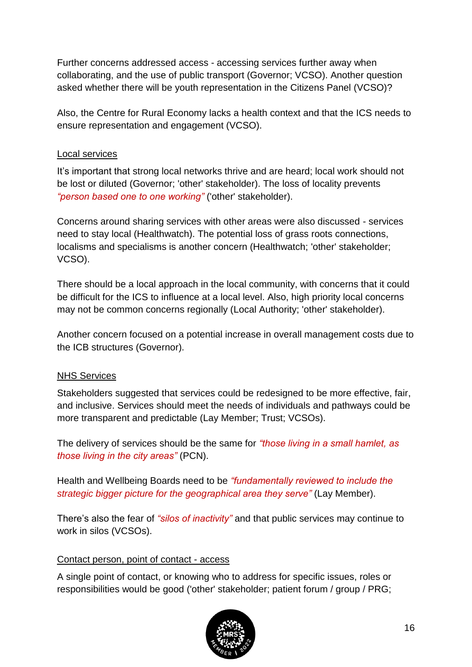Further concerns addressed access - accessing services further away when collaborating, and the use of public transport (Governor; VCSO). Another question asked whether there will be youth representation in the Citizens Panel (VCSO)?

Also, the Centre for Rural Economy lacks a health context and that the ICS needs to ensure representation and engagement (VCSO).

#### Local services

It's important that strong local networks thrive and are heard; local work should not be lost or diluted (Governor; 'other' stakeholder). The loss of locality prevents *"person based one to one working"* ('other' stakeholder).

Concerns around sharing services with other areas were also discussed - services need to stay local (Healthwatch). The potential loss of grass roots connections, localisms and specialisms is another concern (Healthwatch; 'other' stakeholder; VCSO).

There should be a local approach in the local community, with concerns that it could be difficult for the ICS to influence at a local level. Also, high priority local concerns may not be common concerns regionally (Local Authority; 'other' stakeholder).

Another concern focused on a potential increase in overall management costs due to the ICB structures (Governor).

#### NHS Services

Stakeholders suggested that services could be redesigned to be more effective, fair, and inclusive. Services should meet the needs of individuals and pathways could be more transparent and predictable (Lay Member; Trust; VCSOs).

The delivery of services should be the same for *"those living in a small hamlet, as those living in the city areas"* (PCN).

Health and Wellbeing Boards need to be *"fundamentally reviewed to include the strategic bigger picture for the geographical area they serve"* (Lay Member).

There's also the fear of *"silos of inactivity"* and that public services may continue to work in silos (VCSOs).

#### Contact person, point of contact - access

A single point of contact, or knowing who to address for specific issues, roles or responsibilities would be good ('other' stakeholder; patient forum / group / PRG;

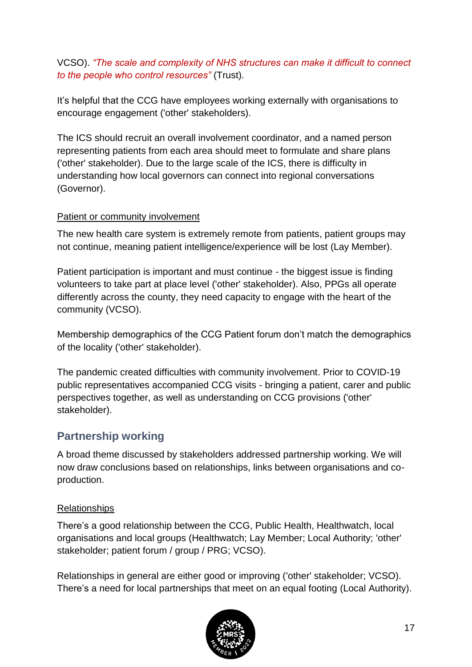#### VCSO). *"The scale and complexity of NHS structures can make it difficult to connect to the people who control resources"* (Trust).

It's helpful that the CCG have employees working externally with organisations to encourage engagement ('other' stakeholders).

The ICS should recruit an overall involvement coordinator, and a named person representing patients from each area should meet to formulate and share plans ('other' stakeholder). Due to the large scale of the ICS, there is difficulty in understanding how local governors can connect into regional conversations (Governor).

#### Patient or community involvement

The new health care system is extremely remote from patients, patient groups may not continue, meaning patient intelligence/experience will be lost (Lay Member).

Patient participation is important and must continue - the biggest issue is finding volunteers to take part at place level ('other' stakeholder). Also, PPGs all operate differently across the county, they need capacity to engage with the heart of the community (VCSO).

Membership demographics of the CCG Patient forum don't match the demographics of the locality ('other' stakeholder).

The pandemic created difficulties with community involvement. Prior to COVID-19 public representatives accompanied CCG visits - bringing a patient, carer and public perspectives together, as well as understanding on CCG provisions ('other' stakeholder).

## <span id="page-16-0"></span>**Partnership working**

A broad theme discussed by stakeholders addressed partnership working. We will now draw conclusions based on relationships, links between organisations and coproduction.

#### Relationships

There's a good relationship between the CCG, Public Health, Healthwatch, local organisations and local groups (Healthwatch; Lay Member; Local Authority; 'other' stakeholder; patient forum / group / PRG; VCSO).

Relationships in general are either good or improving ('other' stakeholder; VCSO). There's a need for local partnerships that meet on an equal footing (Local Authority).

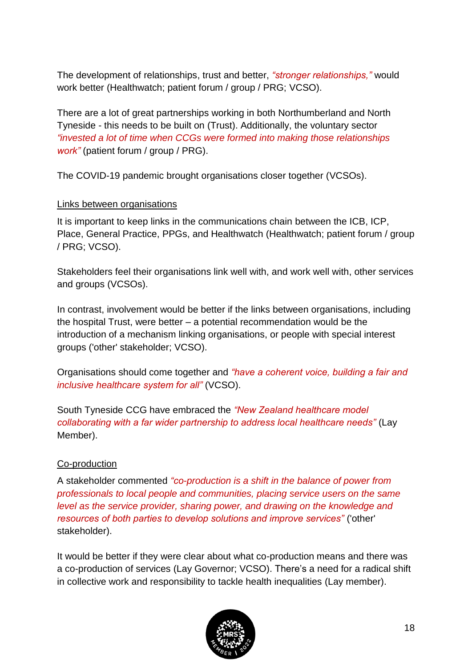The development of relationships, trust and better, *"stronger relationships,"* would work better (Healthwatch; patient forum / group / PRG; VCSO).

There are a lot of great partnerships working in both Northumberland and North Tyneside - this needs to be built on (Trust). Additionally, the voluntary sector *"invested a lot of time when CCGs were formed into making those relationships work"* (patient forum / group / PRG).

The COVID-19 pandemic brought organisations closer together (VCSOs).

#### Links between organisations

It is important to keep links in the communications chain between the ICB, ICP, Place, General Practice, PPGs, and Healthwatch (Healthwatch; patient forum / group / PRG; VCSO).

Stakeholders feel their organisations link well with, and work well with, other services and groups (VCSOs).

In contrast, involvement would be better if the links between organisations, including the hospital Trust, were better – a potential recommendation would be the introduction of a mechanism linking organisations, or people with special interest groups ('other' stakeholder; VCSO).

Organisations should come together and *"have a coherent voice, building a fair and inclusive healthcare system for all"* (VCSO).

South Tyneside CCG have embraced the *"New Zealand healthcare model collaborating with a far wider partnership to address local healthcare needs"* (Lay Member).

#### Co-production

A stakeholder commented *"co-production is a shift in the balance of power from professionals to local people and communities, placing service users on the same level as the service provider, sharing power, and drawing on the knowledge and resources of both parties to develop solutions and improve services"* ('other' stakeholder).

It would be better if they were clear about what co-production means and there was a co-production of services (Lay Governor; VCSO). There's a need for a radical shift in collective work and responsibility to tackle health inequalities (Lay member).

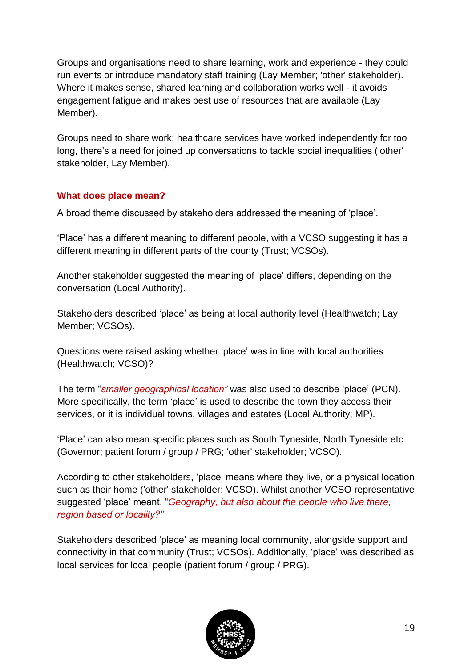Groups and organisations need to share learning, work and experience - they could run events or introduce mandatory staff training (Lay Member; 'other' stakeholder). Where it makes sense, shared learning and collaboration works well - it avoids engagement fatigue and makes best use of resources that are available (Lay Member).

Groups need to share work; healthcare services have worked independently for too long, there's a need for joined up conversations to tackle social inequalities ('other' stakeholder, Lay Member).

#### <span id="page-18-0"></span>**What does place mean?**

A broad theme discussed by stakeholders addressed the meaning of 'place'.

'Place' has a different meaning to different people, with a VCSO suggesting it has a different meaning in different parts of the county (Trust; VCSOs).

Another stakeholder suggested the meaning of 'place' differs, depending on the conversation (Local Authority).

Stakeholders described 'place' as being at local authority level (Healthwatch; Lay Member; VCSOs).

Questions were raised asking whether 'place' was in line with local authorities (Healthwatch; VCSO)?

The term "*smaller geographical location"* was also used to describe 'place' (PCN). More specifically, the term 'place' is used to describe the town they access their services, or it is individual towns, villages and estates (Local Authority; MP).

'Place' can also mean specific places such as South Tyneside, North Tyneside etc (Governor; patient forum / group / PRG; 'other' stakeholder; VCSO).

According to other stakeholders, 'place' means where they live, or a physical location such as their home ('other' stakeholder; VCSO). Whilst another VCSO representative suggested 'place' meant, "*Geography, but also about the people who live there, region based or locality?"*

Stakeholders described 'place' as meaning local community, alongside support and connectivity in that community (Trust; VCSOs). Additionally, 'place' was described as local services for local people (patient forum / group / PRG).